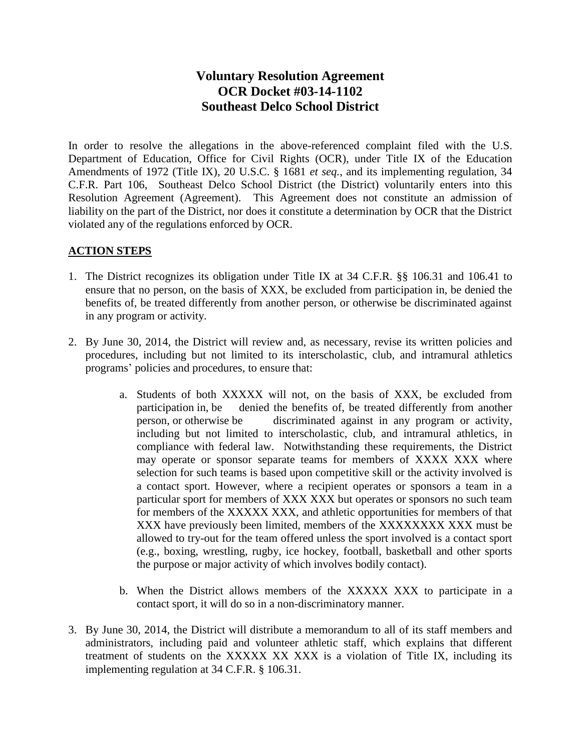## **Voluntary Resolution Agreement OCR Docket #03-14-1102 Southeast Delco School District**

In order to resolve the allegations in the above-referenced complaint filed with the U.S. Department of Education, Office for Civil Rights (OCR), under Title IX of the Education Amendments of 1972 (Title IX), 20 U.S.C. § 1681 *et seq.*, and its implementing regulation, 34 C.F.R. Part 106, Southeast Delco School District (the District) voluntarily enters into this Resolution Agreement (Agreement). This Agreement does not constitute an admission of liability on the part of the District, nor does it constitute a determination by OCR that the District violated any of the regulations enforced by OCR.

## **ACTION STEPS**

- 1. The District recognizes its obligation under Title IX at 34 C.F.R. §§ 106.31 and 106.41 to ensure that no person, on the basis of XXX, be excluded from participation in, be denied the benefits of, be treated differently from another person, or otherwise be discriminated against in any program or activity.
- 2. By June 30, 2014, the District will review and, as necessary, revise its written policies and procedures, including but not limited to its interscholastic, club, and intramural athletics programs' policies and procedures, to ensure that:
	- a. Students of both XXXXX will not, on the basis of XXX, be excluded from participation in, be denied the benefits of, be treated differently from another person, or otherwise be discriminated against in any program or activity, including but not limited to interscholastic, club, and intramural athletics, in compliance with federal law. Notwithstanding these requirements, the District may operate or sponsor separate teams for members of XXXX XXX where selection for such teams is based upon competitive skill or the activity involved is a contact sport. However, where a recipient operates or sponsors a team in a particular sport for members of XXX XXX but operates or sponsors no such team for members of the XXXXX XXX, and athletic opportunities for members of that XXX have previously been limited, members of the XXXXXXXX XXX must be allowed to try-out for the team offered unless the sport involved is a contact sport (e.g., boxing, wrestling, rugby, ice hockey, football, basketball and other sports the purpose or major activity of which involves bodily contact).
	- b. When the District allows members of the XXXXX XXX to participate in a contact sport, it will do so in a non-discriminatory manner.
- 3. By June 30, 2014, the District will distribute a memorandum to all of its staff members and administrators, including paid and volunteer athletic staff, which explains that different treatment of students on the XXXXX XX XXX is a violation of Title IX, including its implementing regulation at 34 C.F.R. § 106.31.